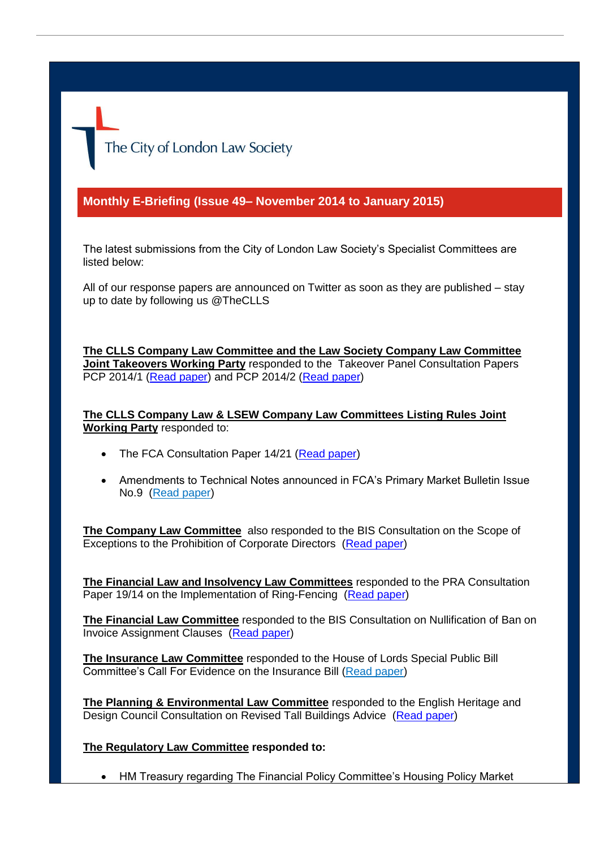The City of London Law Society

## **Monthly E-Briefing (Issue 49– November 2014 to January 2015)**

The latest submissions from the City of London Law Society's Specialist Committees are listed below:

All of our response papers are announced on Twitter as soon as they are published – stay up to date by following us @TheCLLS

**The CLLS Company Law Committee and the Law Society Company Law Committee Joint Takeovers Working Party** responded to the Takeover Panel Consultation Papers PCP 2014/1 [\(Read paper\)](http://www.citysolicitors.org.uk/attachments/category/114/CLLS%20-%20response%20to%20PCP%202014_1.pdf) and PCP 2014/2 [\(Read paper\)](http://www.citysolicitors.org.uk/attachments/category/114/TWP%20response%20on%20PCP%202014_2%20final%20version%20(2).pdf)

**The CLLS Company Law & LSEW Company Law Committees Listing Rules Joint Working Party** responded to:

- The FCA Consultation Paper 14/21 [\(Read paper\)](http://www.citysolicitors.org.uk/attachments/category/114/24%20December%202014%20-%20Further%20response%20to%20FCA)
- Amendments to Technical Notes announced in FCA's Primary Market Bulletin Issue No.9 [\(Read paper\)](http://www.citysolicitors.org.uk/attachments/category/114/12%20January%202015%20-%20FCA)

**The Company Law Committee** also responded to the BIS Consultation on the Scope of Exceptions to the Prohibition of Corporate Directors [\(Read paper\)](http://www.citysolicitors.org.uk/attachments/category/114/8%20January%202015%20-%20BIS)

**The Financial Law and Insolvency Law Committees** responded to the PRA Consultation Paper 19/14 on the Implementation of Ring-Fencing [\(Read paper\)](http://www.citysolicitors.org.uk/attachments/article/121/PRA%20Consultation%20CP19%2014%20Implementation%20of%20Ring%20Fencing.pdf)

**The Financial Law Committee** responded to the BIS Consultation on Nullification of Ban on Invoice Assignment Clauses [\(Read paper\)](http://www.citysolicitors.org.uk/attachments/article/121/nullification%20of%20ban%20on%20invoice%20assignment%20clauses.pdf)

**The Insurance Law Committee** responded to the House of Lords Special Public Bill Committee's Call For Evidence on the Insurance Bill [\(Read paper\)](http://www.citysolicitors.org.uk/attachments/article/117/Response%20to%20Special%20Public%20Bill%20Commitee%20call%20for%20evidence%20on%20Insurance%20Bill.pdf)

**The Planning & Environmental Law Committee** responded to the English Heritage and Design Council Consultation on Revised Tall Buildings Advice [\(Read paper\)](http://www.citysolicitors.org.uk/attachments/article/109/revised-tall-buildings-guidance-questions1.pdf)

## **The Regulatory Law Committee responded to:**

HM Treasury regarding The Financial Policy Committee's Housing Policy Market